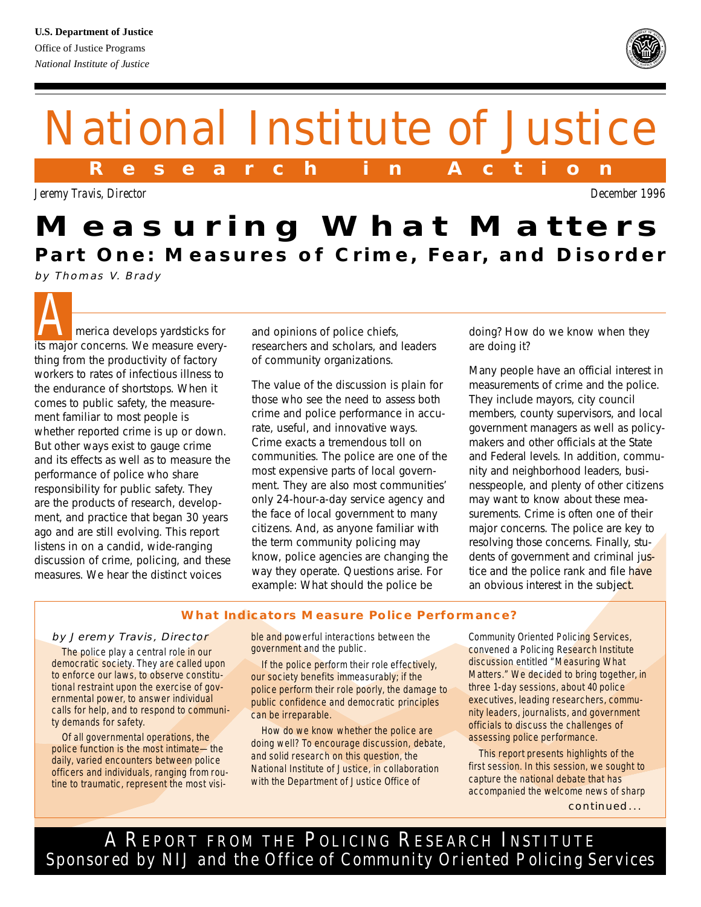# **U.S. Department of Justice**

Office of Justice Programs *National Institute of Justice*



National Institute of Justice

**Research in Action**

*Jeremy Travis, Director December 1996*

# **Measuring What Matters Part One: Measures of Crime, Fear, and Disorder**

by Thomas V. Brady

merica develops yardsticks for its major concerns. We measure everything from the productivity of factory workers to rates of infectious illness to the endurance of shortstops. When it comes to public safety, the measurement familiar to most people is whether reported crime is up or down. But other ways exist to gauge crime and its effects as well as to measure the performance of police who share responsibility for public safety. They are the products of research, development, and practice that began 30 years ago and are still evolving. This report listens in on a candid, wide-ranging discussion of crime, policing, and these measures. We hear the distinct voices

and opinions of police chiefs, researchers and scholars, and leaders of community organizations.

The value of the discussion is plain for those who see the need to assess both crime and police performance in accurate, useful, and innovative ways. Crime exacts a tremendous toll on communities. The police are one of the most expensive parts of local government. They are also most communities' only 24-hour-a-day service agency and the face of local government to many citizens. And, as anyone familiar with the term community policing may know, police agencies are changing the way they operate. Questions arise. For example: What should the police be

doing? How do we know when they are doing it?

Many people have an official interest in measurements of crime and the police. They include mayors, city council members, county supervisors, and local government managers as well as policymakers and other officials at the State and Federal levels. In addition, community and neighborhood leaders, businesspeople, and plenty of other citizens may want to know about these measurements. Crime is often one of their major concerns. The police are key to resolving those concerns. Finally, students of government and criminal justice and the police rank and file have an obvious interest in the subject.

# **What Indicators Measure Police Performance?**

by Jeremy Travis, Director

The police play a central role in our democratic society. They are called upon to enforce our laws, to observe constitutional restraint upon the exercise of governmental power, to answer individual calls for help, and to respond to community demands for safety.

Of all governmental operations, the police function is the most intimate—the daily, varied encounters between police officers and individuals, ranging from routine to traumatic, represent the most visible and powerful interactions between the government and the public.

If the police perform their role effectively, our society benefits immeasurably; if the police perform their role poorly, the damage to public confidence and democratic principles can be irreparable.

How do we know whether the police are doing well? To encourage discussion, debate, and solid research on this question, the National Institute of Justice, in collaboration with the Department of Justice Office of

Community Oriented Policing Services, convened a Policing Research Institute discussion entitled "Measuring What Matters." We decided to bring together, in three 1-day sessions, about 40 police executives, leading researchers, community leaders, journalists, and government officials to discuss the challenges of assessing police performance.

This report presents highlights of the first session. In this session, we sought to capture the national debate that has accompanied the welcome news of sharp continued...

A REPORT FROM THE POLICING RESEARCH INSTITUTE Sponsored by NIJ and the Office of Community Oriented Policing Services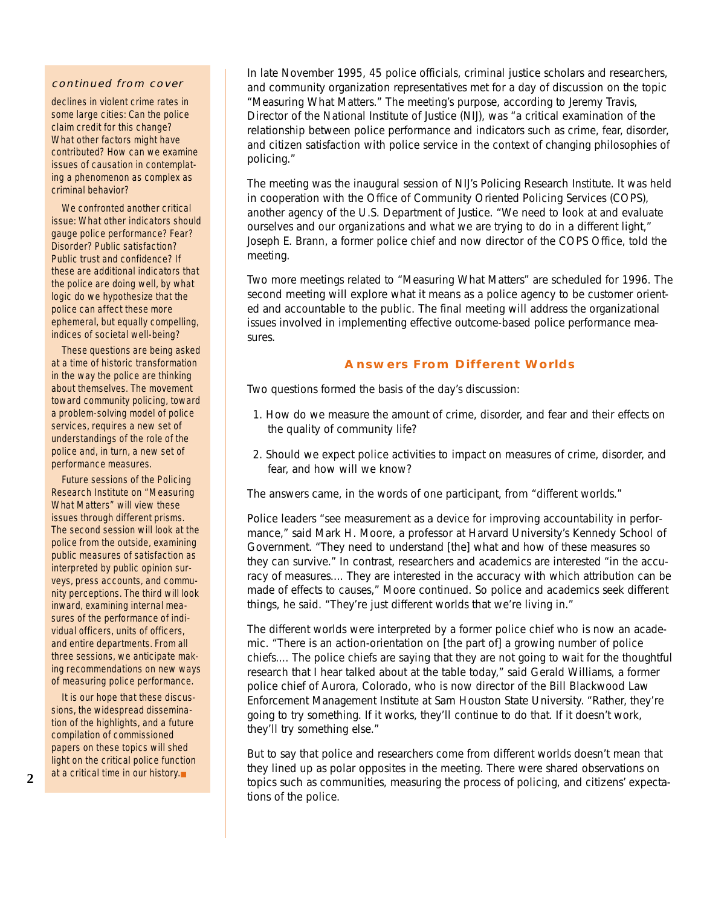#### continued from cover

declines in violent crime rates in some large cities: Can the police claim credit for this change? What other factors might have contributed? How can we examine issues of causation in contemplating a phenomenon as complex as criminal behavior?

We confronted another critical issue: What other indicators should gauge police performance? Fear? Disorder? Public satisfaction? Public trust and confidence? If these are additional indicators that the police are doing well, by what logic do we hypothesize that the police can affect these more ephemeral, but equally compelling, indices of societal well-being?

These questions are being asked at a time of historic transformation in the way the police are thinking about themselves. The movement toward community policing, toward a problem-solving model of police services, requires a new set of understandings of the role of the police and, in turn, a new set of performance measures.

Future sessions of the Policing Research Institute on "Measuring What Matters" will view these issues through different prisms. The second session will look at the police from the outside, examining public measures of satisfaction as interpreted by public opinion surveys, press accounts, and community perceptions. The third will look inward, examining internal measures of the performance of individual officers, units of officers, and entire departments. From all three sessions, we anticipate making recommendations on new ways of measuring police performance.

It is our hope that these discussions, the widespread dissemination of the highlights, and a future compilation of commissioned papers on these topics will shed light on the critical police function at a critical time in our history.■

In late November 1995, 45 police officials, criminal justice scholars and researchers, and community organization representatives met for a day of discussion on the topic "Measuring What Matters." The meeting's purpose, according to Jeremy Travis, Director of the National Institute of Justice (NIJ), was "a critical examination of the relationship between police performance and indicators such as crime, fear, disorder, and citizen satisfaction with police service in the context of changing philosophies of policing."

The meeting was the inaugural session of NIJ's Policing Research Institute. It was held in cooperation with the Office of Community Oriented Policing Services (COPS), another agency of the U.S. Department of Justice. "We need to look at and evaluate ourselves and our organizations and what we are trying to do in a different light," Joseph E. Brann, a former police chief and now director of the COPS Office, told the meeting.

Two more meetings related to "Measuring What Matters" are scheduled for 1996. The second meeting will explore what it means as a police agency to be customer oriented and accountable to the public. The final meeting will address the organizational issues involved in implementing effective outcome-based police performance measures.

## **Answers From Different Worlds**

Two questions formed the basis of the day's discussion:

- 1. How do we measure the amount of crime, disorder, and fear and their effects on the quality of community life?
- 2. Should we expect police activities to impact on measures of crime, disorder, and fear, and how will we know?

The answers came, in the words of one participant, from "different worlds."

Police leaders "see measurement as a device for improving accountability in performance," said Mark H. Moore, a professor at Harvard University's Kennedy School of Government. "They need to understand [the] what and how of these measures so they can survive." In contrast, researchers and academics are interested "in the accuracy of measures.... They are interested in the accuracy with which attribution can be made of effects to causes," Moore continued. So police and academics seek different things, he said. "They're just different worlds that we're living in."

The different worlds were interpreted by a former police chief who is now an academic. "There is an action-orientation on [the part of] a growing number of police chiefs.... The police chiefs are saying that they are not going to wait for the thoughtful research that I hear talked about at the table today," said Gerald Williams, a former police chief of Aurora, Colorado, who is now director of the Bill Blackwood Law Enforcement Management Institute at Sam Houston State University. "Rather, they're going to try something. If it works, they'll continue to do that. If it doesn't work, they'll try something else."

But to say that police and researchers come from different worlds doesn't mean that they lined up as polar opposites in the meeting. There were shared observations on topics such as communities, measuring the process of policing, and citizens' expectations of the police.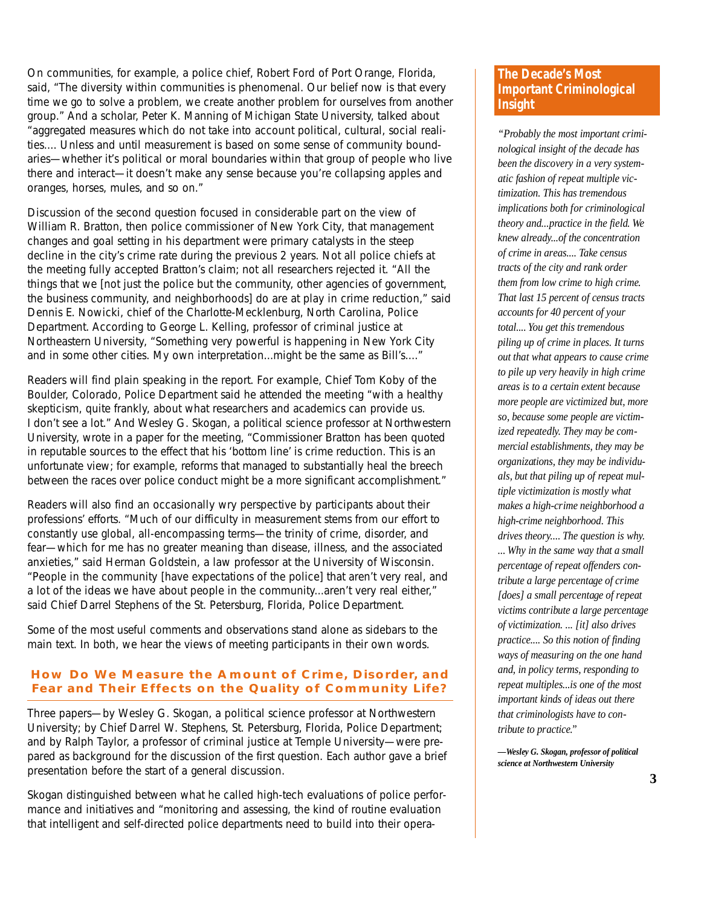On communities, for example, a police chief, Robert Ford of Port Orange, Florida, said, "The diversity within communities is phenomenal. Our belief now is that every time we go to solve a problem, we create another problem for ourselves from another group." And a scholar, Peter K. Manning of Michigan State University, talked about "aggregated measures which do not take into account political, cultural, social realities.... Unless and until measurement is based on some sense of community boundaries—whether it's political or moral boundaries within that group of people who live there and interact—it doesn't make any sense because you're collapsing apples and oranges, horses, mules, and so on."

Discussion of the second question focused in considerable part on the view of William R. Bratton, then police commissioner of New York City, that management changes and goal setting in his department were primary catalysts in the steep decline in the city's crime rate during the previous 2 years. Not all police chiefs at the meeting fully accepted Bratton's claim; not all researchers rejected it. "All the things that we [not just the police but the community, other agencies of government, the business community, and neighborhoods] do are at play in crime reduction," said Dennis E. Nowicki, chief of the Charlotte-Mecklenburg, North Carolina, Police Department. According to George L. Kelling, professor of criminal justice at Northeastern University, "Something very powerful is happening in New York City and in some other cities. My own interpretation...might be the same as Bill's...."

Readers will find plain speaking in the report. For example, Chief Tom Koby of the Boulder, Colorado, Police Department said he attended the meeting "with a healthy skepticism, quite frankly, about what researchers and academics can provide us. I don't see a lot." And Wesley G. Skogan, a political science professor at Northwestern University, wrote in a paper for the meeting, "Commissioner Bratton has been quoted in reputable sources to the effect that his 'bottom line' is crime reduction. This is an unfortunate view; for example, reforms that managed to substantially heal the breech between the races over police conduct might be a more significant accomplishment."

Readers will also find an occasionally wry perspective by participants about their professions' efforts. "Much of our difficulty in measurement stems from our effort to constantly use global, all-encompassing terms—the trinity of crime, disorder, and fear—which for me has no greater meaning than disease, illness, and the associated anxieties," said Herman Goldstein, a law professor at the University of Wisconsin. "People in the community [have expectations of the police] that aren't very real, and a lot of the ideas we have about people in the community...aren't very real either," said Chief Darrel Stephens of the St. Petersburg, Florida, Police Department.

Some of the most useful comments and observations stand alone as sidebars to the main text. In both, we hear the views of meeting participants in their own words.

## **How Do We Measure the Amount of Crime, Disorder, and Fear and Their Effects on the Quality of Community Life?**

Three papers—by Wesley G. Skogan, a political science professor at Northwestern University; by Chief Darrel W. Stephens, St. Petersburg, Florida, Police Department; and by Ralph Taylor, a professor of criminal justice at Temple University—were prepared as background for the discussion of the first question. Each author gave a brief presentation before the start of a general discussion.

Skogan distinguished between what he called high-tech evaluations of police performance and initiatives and "monitoring and assessing, the kind of routine evaluation that intelligent and self-directed police departments need to build into their opera-

## **The Decade's Most Important Criminological Insight**

*"Probably the most important criminological insight of the decade has been the discovery in a very systematic fashion of repeat multiple victimization. This has tremendous implications both for criminological theory and...practice in the field. We knew already...of the concentration of crime in areas.... Take census tracts of the city and rank order them from low crime to high crime. That last 15 percent of census tracts accounts for 40 percent of your total.... You get this tremendous piling up of crime in places. It turns out that what appears to cause crime to pile up very heavily in high crime areas is to a certain extent because more people are victimized but, more so, because some people are victimized repeatedly. They may be commercial establishments, they may be organizations, they may be individuals, but that piling up of repeat multiple victimization is mostly what makes a high-crime neighborhood a high-crime neighborhood. This drives theory.... The question is why. ... Why in the same way that a small percentage of repeat offenders contribute a large percentage of crime [does] a small percentage of repeat victims contribute a large percentage of victimization. ... [it] also drives practice.... So this notion of finding ways of measuring on the one hand and, in policy terms, responding to repeat multiples...is one of the most important kinds of ideas out there that criminologists have to contribute to practice."*

*—Wesley G. Skogan, professor of political science at Northwestern University*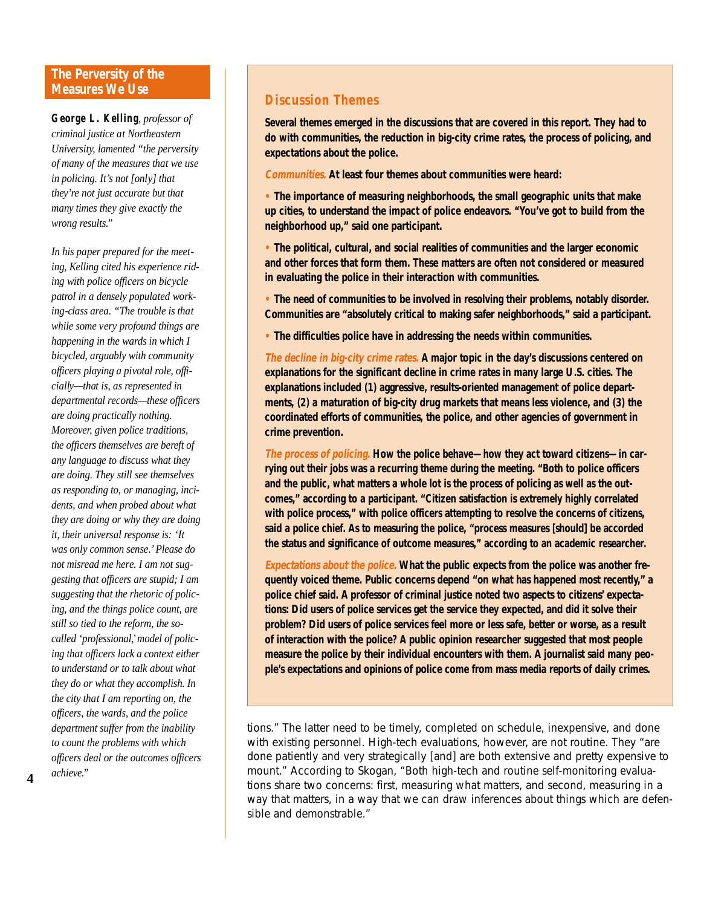## **The Perversity of the Measures We Use**

**George L. Kelling***, professor of criminal justice at Northeastern University, lamented "the perversity of many of the measures that we use in policing. It's not [only] that they're not just accurate but that many times they give exactly the wrong results."*

*In his paper prepared for the meeting, Kelling cited his experience riding with police officers on bicycle patrol in a densely populated working-class area. "The trouble is that while some very profound things are happening in the wards in which I bicycled, arguably with community officers playing a pivotal role, officially—that is, as represented in departmental records—these officers are doing practically nothing. Moreover, given police traditions, the officers themselves are bereft of any language to discuss what they are doing. They still see themselves as responding to, or managing, incidents, and when probed about what they are doing or why they are doing it, their universal response is: 'It was only common sense.'Please do not misread me here. I am not suggesting that officers are stupid; I am suggesting that the rhetoric of policing, and the things police count, are still so tied to the reform, the socalled 'professional,'model of policing that officers lack a context either to understand or to talk about what they do or what they accomplish. In the city that I am reporting on, the officers, the wards, and the police department suffer from the inability to count the problems with which officers deal or the outcomes officers achieve."*

**4**

# **Discussion Themes**

**Several themes emerged in the discussions that are covered in this report. They had to do with communities, the reduction in big-city crime rates, the process of policing, and expectations about the police.**

**Communities. At least four themes about communities were heard:**

**• The importance of measuring neighborhoods, the small geographic units that make up cities, to understand the impact of police endeavors. "You've got to build from the neighborhood up," said one participant.**

**• The political, cultural, and social realities of communities and the larger economic and other forces that form them. These matters are often not considered or measured in evaluating the police in their interaction with communities.**

**• The need of communities to be involved in resolving their problems, notably disorder. Communities are "absolutely critical to making safer neighborhoods," said a participant.**

**• The difficulties police have in addressing the needs within communities.**

**The decline in big-city crime rates. A major topic in the day's discussions centered on explanations for the significant decline in crime rates in many large U.S. cities. The explanations included (1) aggressive, results-oriented management of police departments, (2) a maturation of big-city drug markets that means less violence, and (3) the coordinated efforts of communities, the police, and other agencies of government in crime prevention.**

**The process of policing. How the police behave—how they act toward citizens—in carrying out their jobs was a recurring theme during the meeting. "Both to police officers and the public, what matters a whole lot is the process of policing as well as the outcomes," according to a participant. "Citizen satisfaction is extremely highly correlated with police process," with police officers attempting to resolve the concerns of citizens, said a police chief. As to measuring the police, "process measures [should] be accorded the status and significance of outcome measures," according to an academic researcher.**

**Expectations about the police. What the public expects from the police was another frequently voiced theme. Public concerns depend "on what has happened most recently," a police chief said. A professor of criminal justice noted two aspects to citizens' expectations: Did users of police services get the service they expected, and did it solve their problem? Did users of police services feel more or less safe, better or worse, as a result of interaction with the police? A public opinion researcher suggested that most people measure the police by their individual encounters with them. A journalist said many people's expectations and opinions of police come from mass media reports of daily crimes.**

tions." The latter need to be timely, completed on schedule, inexpensive, and done with existing personnel. High-tech evaluations, however, are not routine. They "are done patiently and very strategically [and] are both extensive and pretty expensive to mount." According to Skogan, "Both high-tech and routine self-monitoring evaluations share two concerns: first, measuring what matters, and second, measuring in a way that matters, in a way that we can draw inferences about things which are defensible and demonstrable."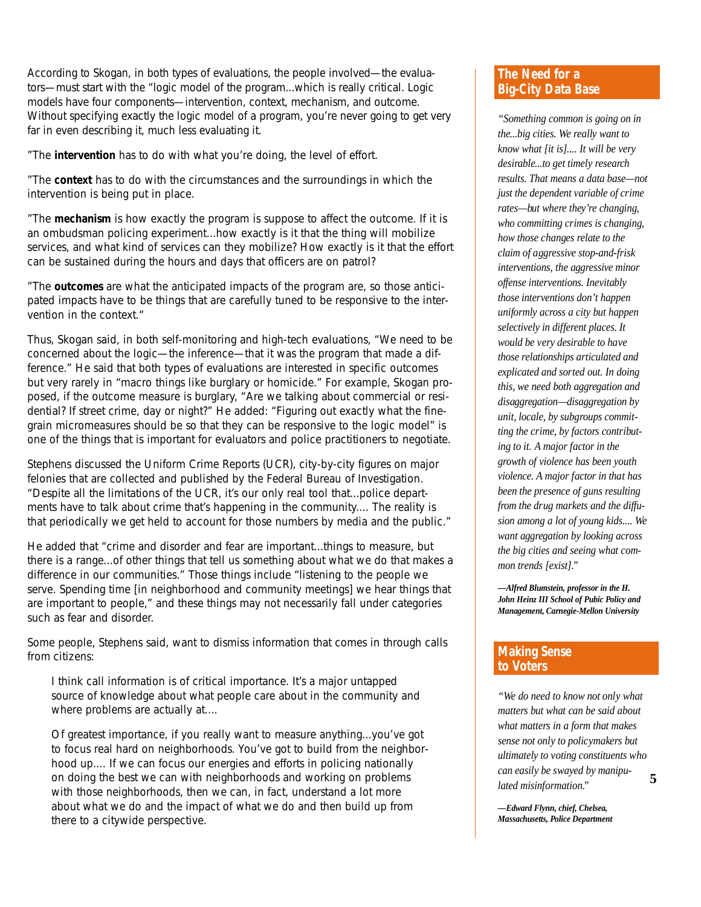According to Skogan, in both types of evaluations, the people involved—the evaluators—must start with the "logic model of the program...which is really critical. Logic models have four components—intervention, context, mechanism, and outcome. Without specifying exactly the logic model of a program, you're never going to get very far in even describing it, much less evaluating it.

"The **intervention** has to do with what you're doing, the level of effort.

"The **context** has to do with the circumstances and the surroundings in which the intervention is being put in place.

"The **mechanism** is how exactly the program is suppose to affect the outcome. If it is an ombudsman policing experiment...how exactly is it that the thing will mobilize services, and what kind of services can they mobilize? How exactly is it that the effort can be sustained during the hours and days that officers are on patrol?

"The **outcomes** are what the anticipated impacts of the program are, so those anticipated impacts have to be things that are carefully tuned to be responsive to the intervention in the context."

Thus, Skogan said, in both self-monitoring and high-tech evaluations, "We need to be concerned about the logic—the inference—that it was the program that made a difference." He said that both types of evaluations are interested in specific outcomes but very rarely in "macro things like burglary or homicide." For example, Skogan proposed, if the outcome measure is burglary, "Are we talking about commercial or residential? If street crime, day or night?" He added: "Figuring out exactly what the finegrain micromeasures should be so that they can be responsive to the logic model" is one of the things that is important for evaluators and police practitioners to negotiate.

Stephens discussed the Uniform Crime Reports (UCR), city-by-city figures on major felonies that are collected and published by the Federal Bureau of Investigation. "Despite all the limitations of the UCR, it's our only real tool that...police departments have to talk about crime that's happening in the community.... The reality is that periodically we get held to account for those numbers by media and the public."

He added that "crime and disorder and fear are important...things to measure, but there is a range...of other things that tell us something about what we do that makes a difference in our communities." Those things include "listening to the people we serve. Spending time [in neighborhood and community meetings] we hear things that are important to people," and these things may not necessarily fall under categories such as fear and disorder.

Some people, Stephens said, want to dismiss information that comes in through calls from citizens:

I think call information is of critical importance. It's a major untapped source of knowledge about what people care about in the community and where problems are actually at....

Of greatest importance, if you really want to measure anything...you've got to focus real hard on neighborhoods. You've got to build from the neighborhood up.... If we can focus our energies and efforts in policing nationally on doing the best we can with neighborhoods and working on problems with those neighborhoods, then we can, in fact, understand a lot more about what we do and the impact of what we do and then build up from there to a citywide perspective.

# **The Need for a Big-City Data Base**

*"Something common is going on in the...big cities. We really want to know what [it is].... It will be very desirable...to get timely research results. That means a data base—not just the dependent variable of crime rates—but where they're changing, who committing crimes is changing, how those changes relate to the claim of aggressive stop-and-frisk interventions, the aggressive minor offense interventions. Inevitably those interventions don't happen uniformly across a city but happen selectively in different places. It would be very desirable to have those relationships articulated and explicated and sorted out. In doing this, we need both aggregation and disaggregation—disaggregation by unit, locale, by subgroups committing the crime, by factors contributing to it. A major factor in the growth of violence has been youth violence. A major factor in that has been the presence of guns resulting from the drug markets and the diffusion among a lot of young kids.... We want aggregation by looking across the big cities and seeing what common trends [exist]."*

*—Alfred Blumstein, professor in the H. John Heinz III School of Pubic Policy and Management, Carnegie-Mellon University*

# **Making Sense to Voters**

*"We do need to know not only what matters but what can be said about what matters in a form that makes sense not only to policymakers but ultimately to voting constituents who can easily be swayed by manipulated misinformation."*

*—Edward Flynn, chief, Chelsea, Massachusetts, Police Department*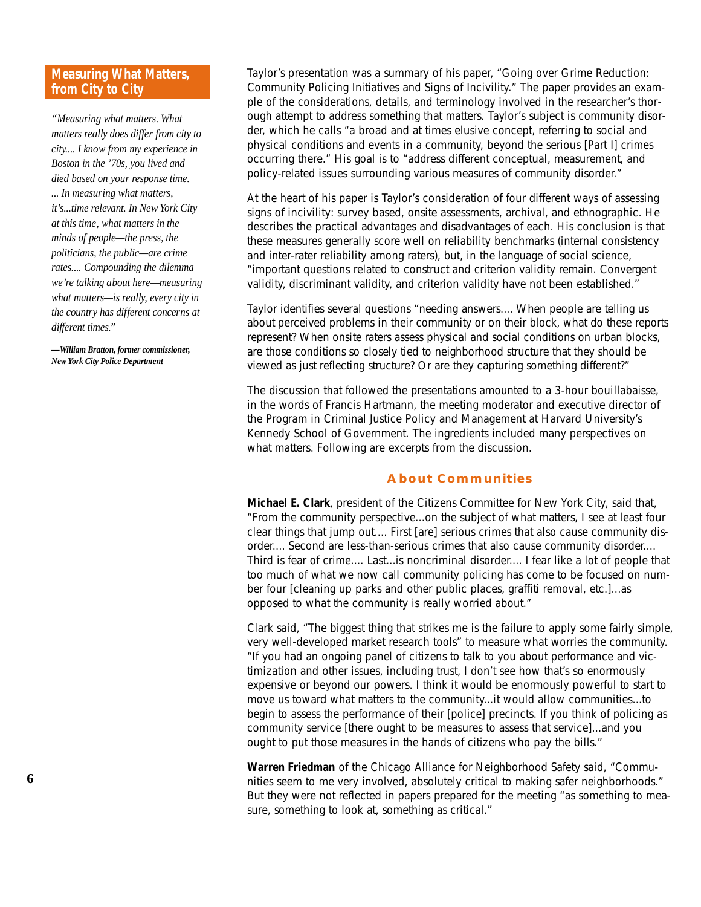## **Measuring What Matters, from City to City**

*"Measuring what matters. What matters really does differ from city to city.... I know from my experience in Boston in the '70s, you lived and died based on your response time. ... In measuring what matters, it's...time relevant. In New York City at this time, what matters in the minds of people—the press, the politicians, the public—are crime rates.... Compounding the dilemma we're talking about here—measuring what matters—is really, every city in the country has different concerns at different times."*

*—William Bratton, former commissioner, New York City Police Department*

Taylor's presentation was a summary of his paper, "Going over Grime Reduction: Community Policing Initiatives and Signs of Incivility." The paper provides an example of the considerations, details, and terminology involved in the researcher's thorough attempt to address something that matters. Taylor's subject is community disorder, which he calls "a broad and at times elusive concept, referring to social and physical conditions and events in a community, beyond the serious [Part I] crimes occurring there." His goal is to "address different conceptual, measurement, and policy-related issues surrounding various measures of community disorder."

At the heart of his paper is Taylor's consideration of four different ways of assessing signs of incivility: survey based, onsite assessments, archival, and ethnographic. He describes the practical advantages and disadvantages of each. His conclusion is that these measures generally score well on reliability benchmarks (internal consistency and inter-rater reliability among raters), but, in the language of social science, "important questions related to construct and criterion validity remain. Convergent validity, discriminant validity, and criterion validity have not been established."

Taylor identifies several questions "needing answers.... When people are telling us about perceived problems in their community or on their block, what do these reports represent? When onsite raters assess physical and social conditions on urban blocks, are those conditions so closely tied to neighborhood structure that they should be viewed as just reflecting structure? Or are they capturing something different?"

The discussion that followed the presentations amounted to a 3-hour bouillabaisse, in the words of Francis Hartmann, the meeting moderator and executive director of the Program in Criminal Justice Policy and Management at Harvard University's Kennedy School of Government. The ingredients included many perspectives on what matters. Following are excerpts from the discussion.

# **About Communities**

**Michael E. Clark**, president of the Citizens Committee for New York City, said that, "From the community perspective...on the subject of what matters, I see at least four clear things that jump out.... First [are] serious crimes that also cause community disorder.... Second are less-than-serious crimes that also cause community disorder.... Third is fear of crime.... Last...is noncriminal disorder.... I fear like a lot of people that too much of what we now call community policing has come to be focused on number four [cleaning up parks and other public places, graffiti removal, etc.]...as opposed to what the community is really worried about."

Clark said, "The biggest thing that strikes me is the failure to apply some fairly simple, very well-developed market research tools" to measure what worries the community. "If you had an ongoing panel of citizens to talk to you about performance and victimization and other issues, including trust, I don't see how that's so enormously expensive or beyond our powers. I think it would be enormously powerful to start to move us toward what matters to the community...it would allow communities...to begin to assess the performance of their [police] precincts. If you think of policing as community service [there ought to be measures to assess that service]...and you ought to put those measures in the hands of citizens who pay the bills."

**Warren Friedman** of the Chicago Alliance for Neighborhood Safety said, "Communities seem to me very involved, absolutely critical to making safer neighborhoods." But they were not reflected in papers prepared for the meeting "as something to measure, something to look at, something as critical."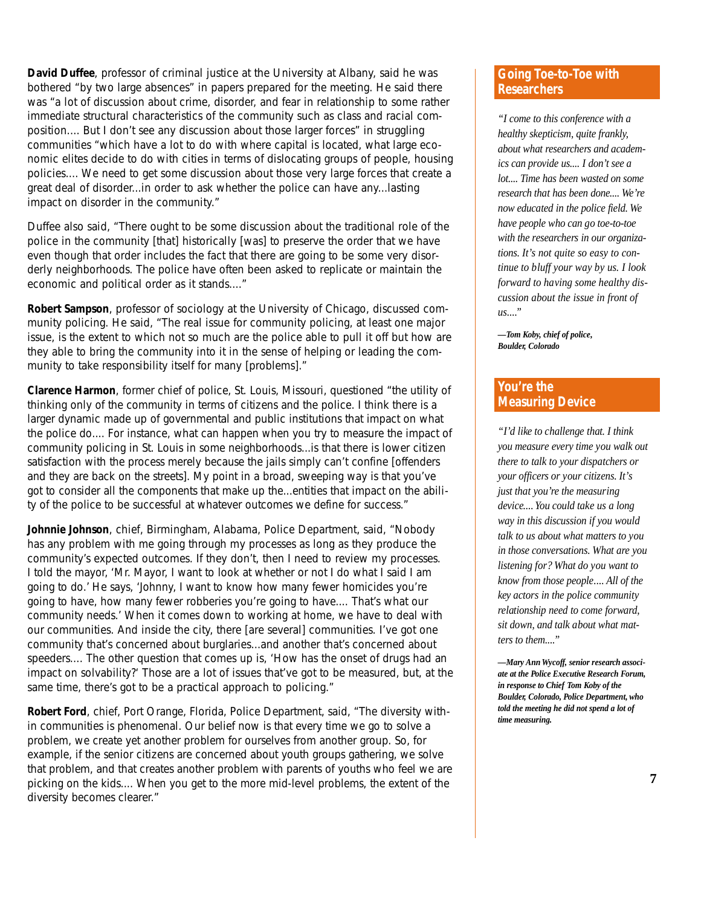**David Duffee**, professor of criminal justice at the University at Albany, said he was bothered "by two large absences" in papers prepared for the meeting. He said there was "a lot of discussion about crime, disorder, and fear in relationship to some rather immediate structural characteristics of the community such as class and racial composition.... But I don't see any discussion about those larger forces" in struggling communities "which have a lot to do with where capital is located, what large economic elites decide to do with cities in terms of dislocating groups of people, housing policies.... We need to get some discussion about those very large forces that create a great deal of disorder...in order to ask whether the police can have any...lasting impact on disorder in the community."

Duffee also said, "There ought to be some discussion about the traditional role of the police in the community [that] historically [was] to preserve the order that we have even though that order includes the fact that there are going to be some very disorderly neighborhoods. The police have often been asked to replicate or maintain the economic and political order as it stands...."

**Robert Sampson**, professor of sociology at the University of Chicago, discussed community policing. He said, "The real issue for community policing, at least one major issue, is the extent to which not so much are the police able to pull it off but how are they able to bring the community into it in the sense of helping or leading the community to take responsibility itself for many [problems]."

**Clarence Harmon**, former chief of police, St. Louis, Missouri, questioned "the utility of thinking only of the community in terms of citizens and the police. I think there is a larger dynamic made up of governmental and public institutions that impact on what the police do.... For instance, what can happen when you try to measure the impact of community policing in St. Louis in some neighborhoods...is that there is lower citizen satisfaction with the process merely because the jails simply can't confine [offenders and they are back on the streets]. My point in a broad, sweeping way is that you've got to consider all the components that make up the...entities that impact on the ability of the police to be successful at whatever outcomes we define for success."

**Johnnie Johnson**, chief, Birmingham, Alabama, Police Department, said, "Nobody has any problem with me going through my processes as long as they produce the community's expected outcomes. If they don't, then I need to review my processes. I told the mayor, 'Mr. Mayor, I want to look at whether or not I do what I said I am going to do.' He says, 'Johnny, I want to know how many fewer homicides you're going to have, how many fewer robberies you're going to have.... That's what our community needs.' When it comes down to working at home, we have to deal with our communities. And inside the city, there [are several] communities. I've got one community that's concerned about burglaries...and another that's concerned about speeders.... The other question that comes up is, 'How has the onset of drugs had an impact on solvability?' Those are a lot of issues that've got to be measured, but, at the same time, there's got to be a practical approach to policing."

**Robert Ford**, chief, Port Orange, Florida, Police Department, said, "The diversity within communities is phenomenal. Our belief now is that every time we go to solve a problem, we create yet another problem for ourselves from another group. So, for example, if the senior citizens are concerned about youth groups gathering, we solve that problem, and that creates another problem with parents of youths who feel we are picking on the kids.... When you get to the more mid-level problems, the extent of the diversity becomes clearer."

# **Going Toe-to-Toe with Researchers**

*"I come to this conference with a healthy skepticism, quite frankly, about what researchers and academics can provide us.... I don't see a lot.... Time has been wasted on some research that has been done.... We're now educated in the police field. We have people who can go toe-to-toe with the researchers in our organizations. It's not quite so easy to continue to bluff your way by us. I look forward to having some healthy discussion about the issue in front of us...."*

*—Tom Koby, chief of police, Boulder, Colorado*

## **You're the Measuring Device**

*"I'd like to challenge that. I think you measure every time you walk out there to talk to your dispatchers or your officers or your citizens. It's just that you're the measuring device.... You could take us a long way in this discussion if you would talk to us about what matters to you in those conversations. What are you listening for? What do you want to know from those people.... All of the key actors in the police community relationship need to come forward, sit down, and talk about what matters to them...."*

*—Mary Ann Wycoff, senior research associate at the Police Executive Research Forum, in response to Chief Tom Koby of the Boulder, Colorado, Police Department, who told the meeting he did not spend a lot of time measuring.*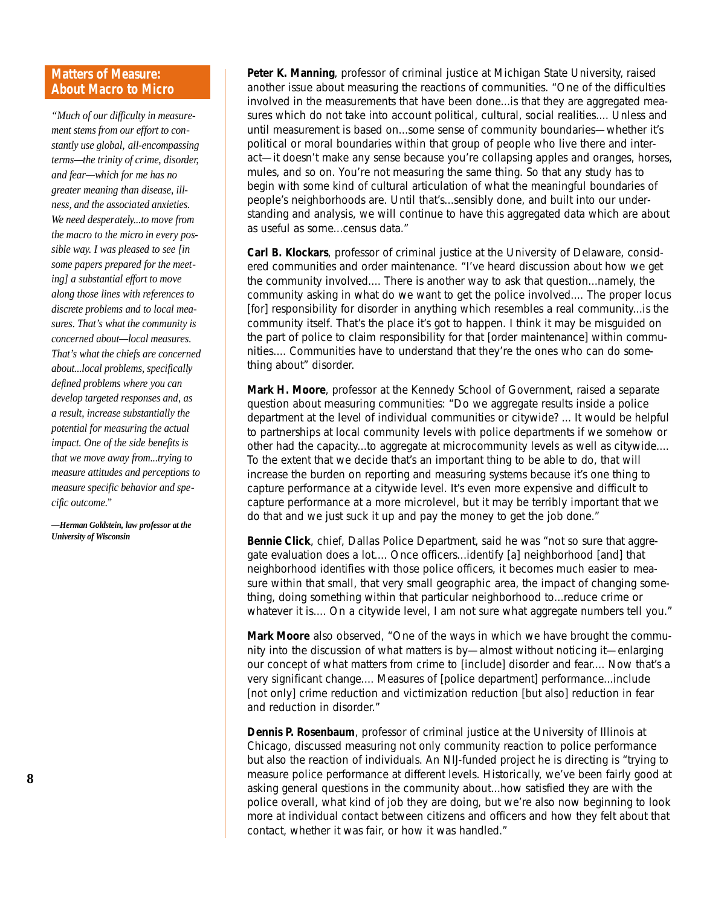## **Matters of Measure: About Macro to Micro**

*"Much of our difficulty in measurement stems from our effort to constantly use global, all-encompassing terms—the trinity of crime, disorder, and fear—which for me has no greater meaning than disease, illness, and the associated anxieties. We need desperately...to move from the macro to the micro in every possible way. I was pleased to see [in some papers prepared for the meeting] a substantial effort to move along those lines with references to discrete problems and to local measures. That's what the community is concerned about—local measures. That's what the chiefs are concerned about...local problems, specifically defined problems where you can develop targeted responses and, as a result, increase substantially the potential for measuring the actual impact. One of the side benefits is that we move away from...trying to measure attitudes and perceptions to measure specific behavior and specific outcome."*

*—Herman Goldstein, law professor at the University of Wisconsin*

**Peter K. Manning**, professor of criminal justice at Michigan State University, raised another issue about measuring the reactions of communities. "One of the difficulties involved in the measurements that have been done...is that they are aggregated measures which do not take into account political, cultural, social realities.... Unless and until measurement is based on...some sense of community boundaries—whether it's political or moral boundaries within that group of people who live there and interact—it doesn't make any sense because you're collapsing apples and oranges, horses, mules, and so on. You're not measuring the same thing. So that any study has to begin with some kind of cultural articulation of what the meaningful boundaries of people's neighborhoods are. Until that's...sensibly done, and built into our understanding and analysis, we will continue to have this aggregated data which are about as useful as some...census data."

**Carl B. Klockars**, professor of criminal justice at the University of Delaware, considered communities and order maintenance. "I've heard discussion about how we get the community involved.... There is another way to ask that question...namely, the community asking in what do we want to get the police involved.... The proper locus [for] responsibility for disorder in anything which resembles a real community...is the community itself. That's the place it's got to happen. I think it may be misguided on the part of police to claim responsibility for that [order maintenance] within communities.... Communities have to understand that they're the ones who can do something about" disorder.

**Mark H. Moore**, professor at the Kennedy School of Government, raised a separate question about measuring communities: "Do we aggregate results inside a police department at the level of individual communities or citywide? ... It would be helpful to partnerships at local community levels with police departments if we somehow or other had the capacity...to aggregate at microcommunity levels as well as citywide.... To the extent that we decide that's an important thing to be able to do, that will increase the burden on reporting and measuring systems because it's one thing to capture performance at a citywide level. It's even more expensive and difficult to capture performance at a more microlevel, but it may be terribly important that we do that and we just suck it up and pay the money to get the job done."

**Bennie Click**, chief, Dallas Police Department, said he was "not so sure that aggregate evaluation does a lot.... Once officers...identify [a] neighborhood [and] that neighborhood identifies with those police officers, it becomes much easier to measure within that small, that very small geographic area, the impact of changing something, doing something within that particular neighborhood to...reduce crime or whatever it is.... On a citywide level, I am not sure what aggregate numbers tell you."

**Mark Moore** also observed, "One of the ways in which we have brought the community into the discussion of what matters is by—almost without noticing it—enlarging our concept of what matters from crime to [include] disorder and fear.... Now that's a very significant change.... Measures of [police department] performance...include [not only] crime reduction and victimization reduction [but also] reduction in fear and reduction in disorder."

**Dennis P. Rosenbaum**, professor of criminal justice at the University of Illinois at Chicago, discussed measuring not only community reaction to police performance but also the reaction of individuals. An NIJ-funded project he is directing is "trying to measure police performance at different levels. Historically, we've been fairly good at asking general questions in the community about...how satisfied they are with the police overall, what kind of job they are doing, but we're also now beginning to look more at individual contact between citizens and officers and how they felt about that contact, whether it was fair, or how it was handled."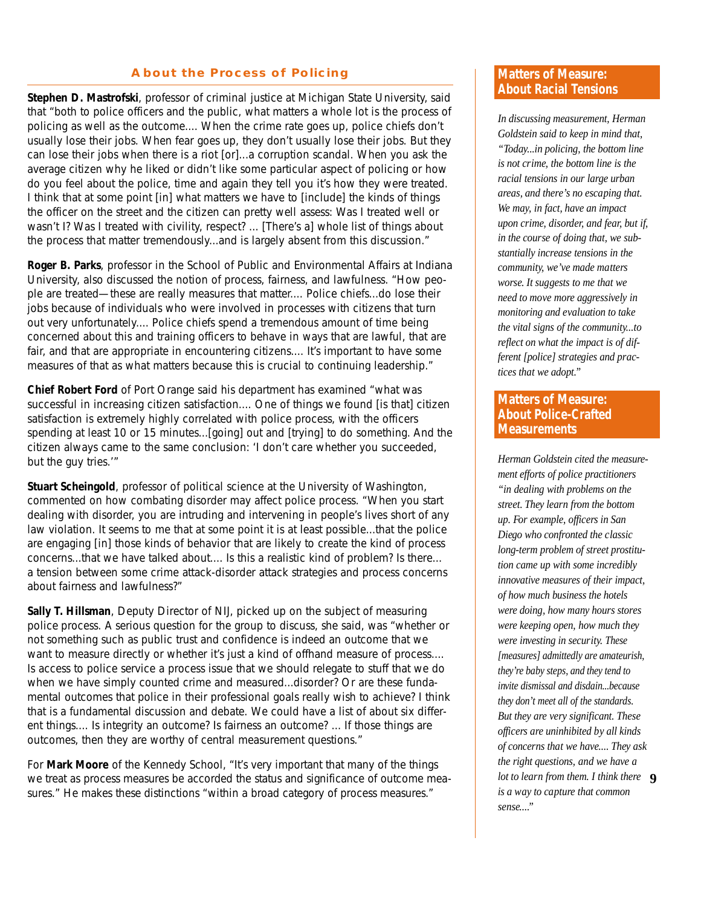## **About the Process of Policing**

**Stephen D. Mastrofski**, professor of criminal justice at Michigan State University, said that "both to police officers and the public, what matters a whole lot is the process of policing as well as the outcome.... When the crime rate goes up, police chiefs don't usually lose their jobs. When fear goes up, they don't usually lose their jobs. But they can lose their jobs when there is a riot [or]...a corruption scandal. When you ask the average citizen why he liked or didn't like some particular aspect of policing or how do you feel about the police, time and again they tell you it's how they were treated. I think that at some point [in] what matters we have to [include] the kinds of things the officer on the street and the citizen can pretty well assess: Was I treated well or wasn't I? Was I treated with civility, respect? ... [There's a] whole list of things about the process that matter tremendously...and is largely absent from this discussion."

**Roger B. Parks**, professor in the School of Public and Environmental Affairs at Indiana University, also discussed the notion of process, fairness, and lawfulness. "How people are treated—these are really measures that matter.... Police chiefs...do lose their jobs because of individuals who were involved in processes with citizens that turn out very unfortunately.... Police chiefs spend a tremendous amount of time being concerned about this and training officers to behave in ways that are lawful, that are fair, and that are appropriate in encountering citizens.... It's important to have some measures of that as what matters because this is crucial to continuing leadership."

**Chief Robert Ford** of Port Orange said his department has examined "what was successful in increasing citizen satisfaction.... One of things we found [is that] citizen satisfaction is extremely highly correlated with police process, with the officers spending at least 10 or 15 minutes...[going] out and [trying] to do something. And the citizen always came to the same conclusion: 'I don't care whether you succeeded, but the guy tries.'"

**Stuart Scheingold**, professor of political science at the University of Washington, commented on how combating disorder may affect police process. "When you start dealing with disorder, you are intruding and intervening in people's lives short of any law violation. It seems to me that at some point it is at least possible...that the police are engaging [in] those kinds of behavior that are likely to create the kind of process concerns...that we have talked about.... Is this a realistic kind of problem? Is there... a tension between some crime attack-disorder attack strategies and process concerns about fairness and lawfulness?"

**Sally T. Hillsman**, Deputy Director of NIJ, picked up on the subject of measuring police process. A serious question for the group to discuss, she said, was "whether or not something such as public trust and confidence is indeed an outcome that we want to measure directly or whether it's just a kind of offhand measure of process.... Is access to police service a process issue that we should relegate to stuff that we do when we have simply counted crime and measured...disorder? Or are these fundamental outcomes that police in their professional goals really wish to achieve? I think that is a fundamental discussion and debate. We could have a list of about six different things.... Is integrity an outcome? Is fairness an outcome? ... If those things are outcomes, then they are worthy of central measurement questions."

For **Mark Moore** of the Kennedy School, "It's very important that many of the things we treat as process measures be accorded the status and significance of outcome measures." He makes these distinctions "within a broad category of process measures."

## **Matters of Measure: About Racial Tensions**

*In discussing measurement, Herman Goldstein said to keep in mind that, "Today...in policing, the bottom line is not crime, the bottom line is the racial tensions in our large urban areas, and there's no escaping that. We may, in fact, have an impact upon crime, disorder, and fear, but if, in the course of doing that, we substantially increase tensions in the community, we've made matters worse. It suggests to me that we need to move more aggressively in monitoring and evaluation to take the vital signs of the community...to reflect on what the impact is of different [police] strategies and practices that we adopt."*

## **Matters of Measure: About Police-Crafted Measurements**

**9** *lot to learn from them. I think there Herman Goldstein cited the measurement efforts of police practitioners "in dealing with problems on the street. They learn from the bottom up. For example, officers in San Diego who confronted the classic long-term problem of street prostitution came up with some incredibly innovative measures of their impact, of how much business the hotels were doing, how many hours stores were keeping open, how much they were investing in security. These [measures] admittedly are amateurish, they're baby steps, and they tend to invite dismissal and disdain...because they don't meet all of the standards. But they are very significant. These officers are uninhibited by all kinds of concerns that we have.... They ask the right questions, and we have a is a way to capture that common sense...."*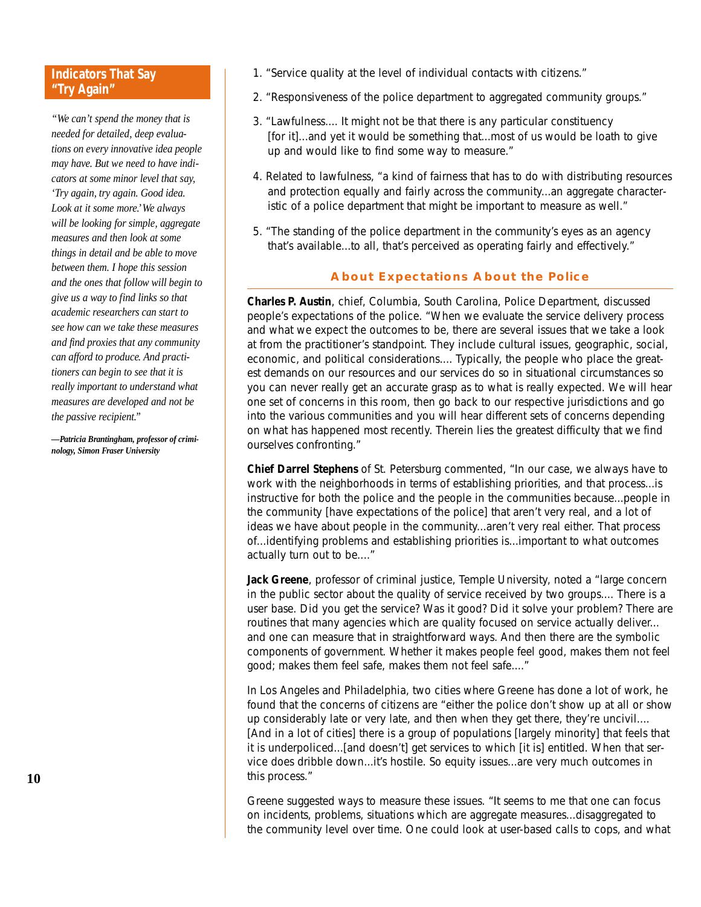# **Indicators That Say "Try Again"**

*"We can't spend the money that is needed for detailed, deep evaluations on every innovative idea people may have. But we need to have indicators at some minor level that say, 'Try again, try again. Good idea. Look at it some more.'We always will be looking for simple, aggregate measures and then look at some things in detail and be able to move between them. I hope this session and the ones that follow will begin to give us a way to find links so that academic researchers can start to see how can we take these measures and find proxies that any community can afford to produce. And practitioners can begin to see that it is really important to understand what measures are developed and not be the passive recipient."*

*—Patricia Brantingham, professor of criminology, Simon Fraser University*

- 1. "Service quality at the level of individual contacts with citizens."
- 2. "Responsiveness of the police department to aggregated community groups."
- 3. "Lawfulness.... It might not be that there is any particular constituency [for it]...and yet it would be something that...most of us would be loath to give up and would like to find some way to measure."
- 4. Related to lawfulness, "a kind of fairness that has to do with distributing resources and protection equally and fairly across the community...an aggregate characteristic of a police department that might be important to measure as well."
- 5. "The standing of the police department in the community's eyes as an agency that's available...to all, that's perceived as operating fairly and effectively."

# **About Expectations About the Police**

**Charles P. Austin**, chief, Columbia, South Carolina, Police Department, discussed people's expectations of the police. "When we evaluate the service delivery process and what we expect the outcomes to be, there are several issues that we take a look at from the practitioner's standpoint. They include cultural issues, geographic, social, economic, and political considerations.... Typically, the people who place the greatest demands on our resources and our services do so in situational circumstances so you can never really get an accurate grasp as to what is really expected. We will hear one set of concerns in this room, then go back to our respective jurisdictions and go into the various communities and you will hear different sets of concerns depending on what has happened most recently. Therein lies the greatest difficulty that we find ourselves confronting."

**Chief Darrel Stephens** of St. Petersburg commented, "In our case, we always have to work with the neighborhoods in terms of establishing priorities, and that process...is instructive for both the police and the people in the communities because...people in the community [have expectations of the police] that aren't very real, and a lot of ideas we have about people in the community...aren't very real either. That process of...identifying problems and establishing priorities is...important to what outcomes actually turn out to be...."

**Jack Greene**, professor of criminal justice, Temple University, noted a "large concern in the public sector about the quality of service received by two groups.... There is a user base. Did you get the service? Was it good? Did it solve your problem? There are routines that many agencies which are quality focused on service actually deliver... and one can measure that in straightforward ways. And then there are the symbolic components of government. Whether it makes people feel good, makes them not feel good; makes them feel safe, makes them not feel safe...."

In Los Angeles and Philadelphia, two cities where Greene has done a lot of work, he found that the concerns of citizens are "either the police don't show up at all or show up considerably late or very late, and then when they get there, they're uncivil.... [And in a lot of cities] there is a group of populations [largely minority] that feels that it is underpoliced...[and doesn't] get services to which [it is] entitled. When that service does dribble down...it's hostile. So equity issues...are very much outcomes in this process."

Greene suggested ways to measure these issues. "It seems to me that one can focus on incidents, problems, situations which are aggregate measures...disaggregated to the community level over time. One could look at user-based calls to cops, and what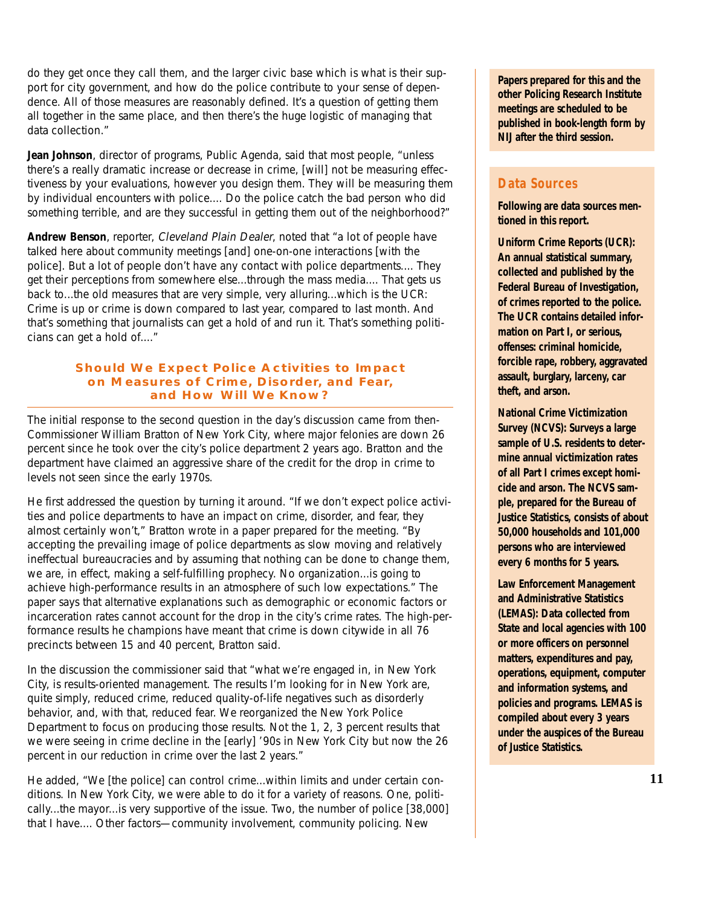do they get once they call them, and the larger civic base which is what is their support for city government, and how do the police contribute to your sense of dependence. All of those measures are reasonably defined. It's a question of getting them all together in the same place, and then there's the huge logistic of managing that data collection."

**Jean Johnson**, director of programs, Public Agenda, said that most people, "unless there's a really dramatic increase or decrease in crime, [will] not be measuring effectiveness by your evaluations, however you design them. They will be measuring them by individual encounters with police.... Do the police catch the bad person who did something terrible, and are they successful in getting them out of the neighborhood?"

**Andrew Benson**, reporter, Cleveland Plain Dealer, noted that "a lot of people have talked here about community meetings [and] one-on-one interactions [with the police]. But a lot of people don't have any contact with police departments.... They get their perceptions from somewhere else...through the mass media.... That gets us back to...the old measures that are very simple, very alluring...which is the UCR: Crime is up or crime is down compared to last year, compared to last month. And that's something that journalists can get a hold of and run it. That's something politicians can get a hold of...."

## **Should We Expect Police Activities to Impact on Measures of Crime, Disorder, and Fear, and How Will We Know?**

The initial response to the second question in the day's discussion came from then-Commissioner William Bratton of New York City, where major felonies are down 26 percent since he took over the city's police department 2 years ago. Bratton and the department have claimed an aggressive share of the credit for the drop in crime to levels not seen since the early 1970s.

He first addressed the question by turning it around. "If we don't expect police activities and police departments to have an impact on crime, disorder, and fear, they almost certainly won't," Bratton wrote in a paper prepared for the meeting. "By accepting the prevailing image of police departments as slow moving and relatively ineffectual bureaucracies and by assuming that nothing can be done to change them, we are, in effect, making a self-fulfilling prophecy. No organization...is going to achieve high-performance results in an atmosphere of such low expectations." The paper says that alternative explanations such as demographic or economic factors or incarceration rates cannot account for the drop in the city's crime rates. The high-performance results he champions have meant that crime is down citywide in all 76 precincts between 15 and 40 percent, Bratton said.

In the discussion the commissioner said that "what we're engaged in, in New York City, is results-oriented management. The results I'm looking for in New York are, quite simply, reduced crime, reduced quality-of-life negatives such as disorderly behavior, and, with that, reduced fear. We reorganized the New York Police Department to focus on producing those results. Not the 1, 2, 3 percent results that we were seeing in crime decline in the [early] '90s in New York City but now the 26 percent in our reduction in crime over the last 2 years."

He added, "We [the police] can control crime...within limits and under certain conditions. In New York City, we were able to do it for a variety of reasons. One, politically...the mayor...is very supportive of the issue. Two, the number of police [38,000] that I have.... Other factors—community involvement, community policing. New

**Papers prepared for this and the other Policing Research Institute meetings are scheduled to be published in book-length form by NIJ after the third session.**

# **Data Sources**

**Following are data sources mentioned in this report.**

**Uniform Crime Reports (UCR): An annual statistical summary, collected and published by the Federal Bureau of Investigation, of crimes reported to the police. The UCR contains detailed information on Part I, or serious, offenses: criminal homicide, forcible rape, robbery, aggravated assault, burglary, larceny, car theft, and arson.**

**National Crime Victimization Survey (NCVS): Surveys a large sample of U.S. residents to determine annual victimization rates of all Part I crimes except homicide and arson. The NCVS sample, prepared for the Bureau of Justice Statistics, consists of about 50,000 households and 101,000 persons who are interviewed every 6 months for 5 years.**

**Law Enforcement Management and Administrative Statistics (LEMAS): Data collected from State and local agencies with 100 or more officers on personnel matters, expenditures and pay, operations, equipment, computer and information systems, and policies and programs. LEMAS is compiled about every 3 years under the auspices of the Bureau of Justice Statistics.**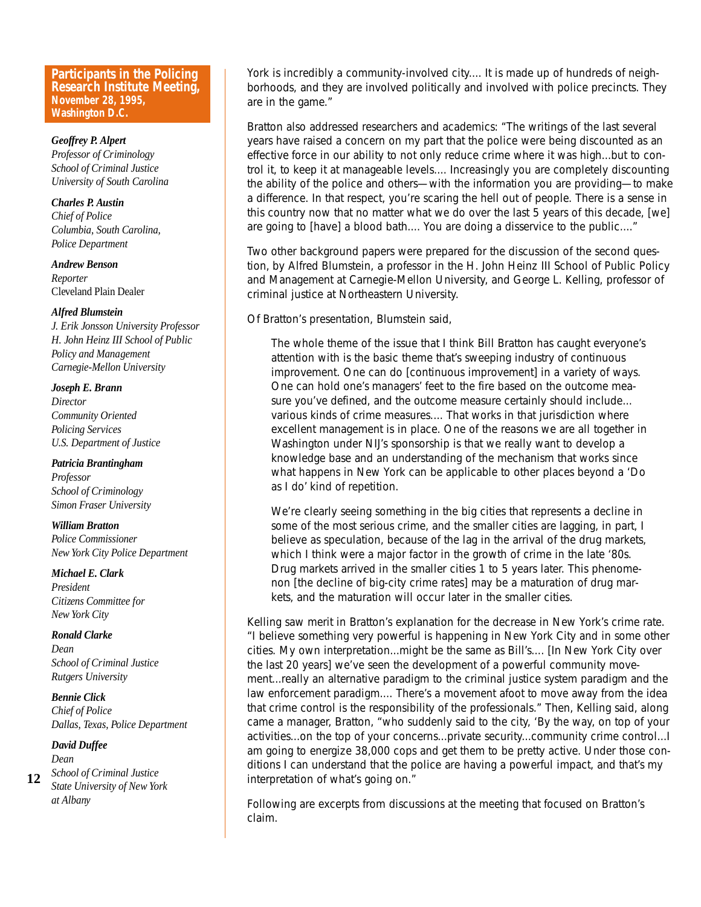#### **Participants in the Policing Research Institute Meeting, November 28, 1995, Washington D.C.**

#### *Geoffrey P. Alpert*

*Professor of Criminology School of Criminal Justice University of South Carolina*

*Charles P. Austin Chief of Police Columbia, South Carolina, Police Department*

*Andrew Benson Reporter* Cleveland Plain Dealer

#### *Alfred Blumstein*

*J. Erik Jonsson University Professor H. John Heinz III School of Public Policy and Management Carnegie-Mellon University*

## *Joseph E. Brann*

*Director Community Oriented Policing Services U.S. Department of Justice*

## *Patricia Brantingham*

*Professor School of Criminology Simon Fraser University*

#### *William Bratton*

*Police Commissioner New York City Police Department*

# *Michael E. Clark*

*President Citizens Committee for New York City*

## *Ronald Clarke*

*Dean School of Criminal Justice Rutgers University*

## *Bennie Click*

*Chief of Police Dallas, Texas, Police Department*

## *David Duffee*

**12** *Dean School of Criminal Justice State University of New York at Albany*

York is incredibly a community-involved city.... It is made up of hundreds of neighborhoods, and they are involved politically and involved with police precincts. They are in the game."

Bratton also addressed researchers and academics: "The writings of the last several years have raised a concern on my part that the police were being discounted as an effective force in our ability to not only reduce crime where it was high...but to control it, to keep it at manageable levels.... Increasingly you are completely discounting the ability of the police and others—with the information you are providing—to make a difference. In that respect, you're scaring the hell out of people. There is a sense in this country now that no matter what we do over the last 5 years of this decade, [we] are going to [have] a blood bath.... You are doing a disservice to the public...."

Two other background papers were prepared for the discussion of the second question, by Alfred Blumstein, a professor in the H. John Heinz III School of Public Policy and Management at Carnegie-Mellon University, and George L. Kelling, professor of criminal justice at Northeastern University.

Of Bratton's presentation, Blumstein said,

The whole theme of the issue that I think Bill Bratton has caught everyone's attention with is the basic theme that's sweeping industry of continuous improvement. One can do [continuous improvement] in a variety of ways. One can hold one's managers' feet to the fire based on the outcome measure you've defined, and the outcome measure certainly should include... various kinds of crime measures.... That works in that jurisdiction where excellent management is in place. One of the reasons we are all together in Washington under NIJ's sponsorship is that we really want to develop a knowledge base and an understanding of the mechanism that works since what happens in New York can be applicable to other places beyond a 'Do as I do' kind of repetition.

We're clearly seeing something in the big cities that represents a decline in some of the most serious crime, and the smaller cities are lagging, in part, I believe as speculation, because of the lag in the arrival of the drug markets, which I think were a major factor in the growth of crime in the late '80s. Drug markets arrived in the smaller cities 1 to 5 years later. This phenomenon [the decline of big-city crime rates] may be a maturation of drug markets, and the maturation will occur later in the smaller cities.

Kelling saw merit in Bratton's explanation for the decrease in New York's crime rate. "I believe something very powerful is happening in New York City and in some other cities. My own interpretation...might be the same as Bill's.... [In New York City over the last 20 years] we've seen the development of a powerful community movement...really an alternative paradigm to the criminal justice system paradigm and the law enforcement paradigm.... There's a movement afoot to move away from the idea that crime control is the responsibility of the professionals." Then, Kelling said, along came a manager, Bratton, "who suddenly said to the city, 'By the way, on top of your activities...on the top of your concerns...private security...community crime control...I am going to energize 38,000 cops and get them to be pretty active. Under those conditions I can understand that the police are having a powerful impact, and that's my interpretation of what's going on."

Following are excerpts from discussions at the meeting that focused on Bratton's claim.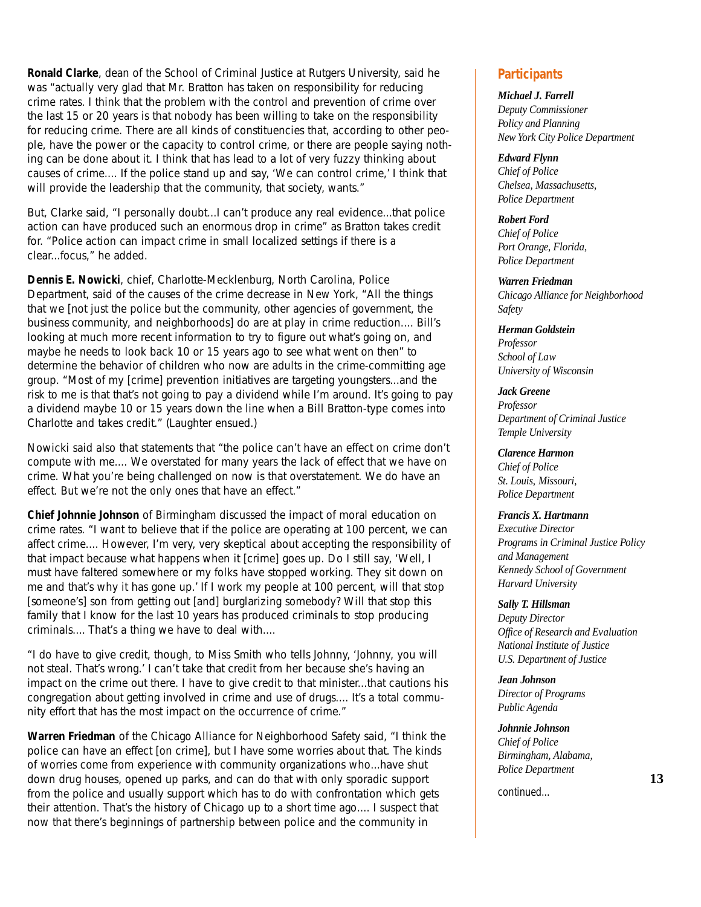**Ronald Clarke**, dean of the School of Criminal Justice at Rutgers University, said he was "actually very glad that Mr. Bratton has taken on responsibility for reducing crime rates. I think that the problem with the control and prevention of crime over the last 15 or 20 years is that nobody has been willing to take on the responsibility for reducing crime. There are all kinds of constituencies that, according to other people, have the power or the capacity to control crime, or there are people saying nothing can be done about it. I think that has lead to a lot of very fuzzy thinking about causes of crime.... If the police stand up and say, 'We can control crime,' I think that will provide the leadership that the community, that society, wants."

But, Clarke said, "I personally doubt...I can't produce any real evidence...that police action can have produced such an enormous drop in crime" as Bratton takes credit for. "Police action can impact crime in small localized settings if there is a clear...focus," he added.

**Dennis E. Nowicki**, chief, Charlotte-Mecklenburg, North Carolina, Police Department, said of the causes of the crime decrease in New York, "All the things that we [not just the police but the community, other agencies of government, the business community, and neighborhoods] do are at play in crime reduction.... Bill's looking at much more recent information to try to figure out what's going on, and maybe he needs to look back 10 or 15 years ago to see what went on then" to determine the behavior of children who now are adults in the crime-committing age group. "Most of my [crime] prevention initiatives are targeting youngsters...and the risk to me is that that's not going to pay a dividend while I'm around. It's going to pay a dividend maybe 10 or 15 years down the line when a Bill Bratton-type comes into Charlotte and takes credit." (Laughter ensued.)

Nowicki said also that statements that "the police can't have an effect on crime don't compute with me.... We overstated for many years the lack of effect that we have on crime. What you're being challenged on now is that overstatement. We do have an effect. But we're not the only ones that have an effect."

**Chief Johnnie Johnson** of Birmingham discussed the impact of moral education on crime rates. "I want to believe that if the police are operating at 100 percent, we can affect crime.... However, I'm very, very skeptical about accepting the responsibility of that impact because what happens when it [crime] goes up. Do I still say, 'Well, I must have faltered somewhere or my folks have stopped working. They sit down on me and that's why it has gone up.' If I work my people at 100 percent, will that stop [someone's] son from getting out [and] burglarizing somebody? Will that stop this family that I know for the last 10 years has produced criminals to stop producing criminals.... That's a thing we have to deal with....

"I do have to give credit, though, to Miss Smith who tells Johnny, 'Johnny, you will not steal. That's wrong.' I can't take that credit from her because she's having an impact on the crime out there. I have to give credit to that minister...that cautions his congregation about getting involved in crime and use of drugs.... It's a total community effort that has the most impact on the occurrence of crime."

**Warren Friedman** of the Chicago Alliance for Neighborhood Safety said, "I think the police can have an effect [on crime], but I have some worries about that. The kinds of worries come from experience with community organizations who...have shut down drug houses, opened up parks, and can do that with only sporadic support from the police and usually support which has to do with confrontation which gets their attention. That's the history of Chicago up to a short time ago.... I suspect that now that there's beginnings of partnership between police and the community in

# **Participants**

#### *Michael J. Farrell*

*Deputy Commissioner Policy and Planning New York City Police Department*

#### *Edward Flynn*

*Chief of Police Chelsea, Massachusetts, Police Department*

#### *Robert Ford*

*Chief of Police Port Orange, Florida, Police Department*

#### *Warren Friedman*

*Chicago Alliance for Neighborhood Safety*

## *Herman Goldstein*

*Professor School of Law University of Wisconsin*

## *Jack Greene*

*Professor Department of Criminal Justice Temple University*

*Clarence Harmon Chief of Police St. Louis, Missouri, Police Department*

#### *Francis X. Hartmann*

*Executive Director Programs in Criminal Justice Policy and Management Kennedy School of Government Harvard University*

#### *Sally T. Hillsman*

*Deputy Director Office of Research and Evaluation National Institute of Justice U.S. Department of Justice*

*Jean Johnson Director of Programs Public Agenda*

#### *Johnnie Johnson*

*Chief of Police Birmingham, Alabama, Police Department*

continued...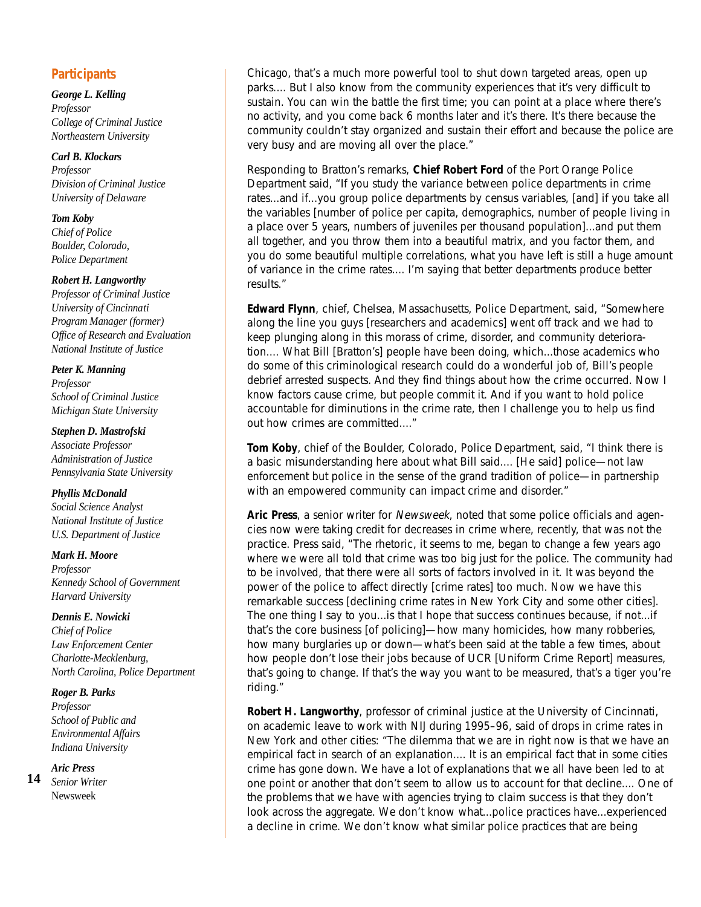# **Participants**

#### *George L. Kelling*

*Professor College of Criminal Justice Northeastern University*

#### *Carl B. Klockars*

*Professor Division of Criminal Justice University of Delaware*

#### *Tom Koby*

*Chief of Police Boulder, Colorado, Police Department*

#### *Robert H. Langworthy*

*Professor of Criminal Justice University of Cincinnati Program Manager (former) Office of Research and Evaluation National Institute of Justice*

#### *Peter K. Manning*

*Professor School of Criminal Justice Michigan State University*

#### *Stephen D. Mastrofski*

*Associate Professor Administration of Justice Pennsylvania State University*

## *Phyllis McDonald*

*Social Science Analyst National Institute of Justice U.S. Department of Justice*

#### *Mark H. Moore*

*Professor Kennedy School of Government Harvard University*

## *Dennis E. Nowicki*

*Chief of Police Law Enforcement Center Charlotte-Mecklenburg, North Carolina, Police Department*

## *Roger B. Parks*

*Professor School of Public and Environmental Affairs Indiana University*

## *Aric Press*

*Senior Writer* Newsweek **14**

Chicago, that's a much more powerful tool to shut down targeted areas, open up parks.... But I also know from the community experiences that it's very difficult to sustain. You can win the battle the first time; you can point at a place where there's no activity, and you come back 6 months later and it's there. It's there because the community couldn't stay organized and sustain their effort and because the police are very busy and are moving all over the place."

Responding to Bratton's remarks, **Chief Robert Ford** of the Port Orange Police Department said, "If you study the variance between police departments in crime rates...and if...you group police departments by census variables, [and] if you take all the variables [number of police per capita, demographics, number of people living in a place over 5 years, numbers of juveniles per thousand population]...and put them all together, and you throw them into a beautiful matrix, and you factor them, and you do some beautiful multiple correlations, what you have left is still a huge amount of variance in the crime rates.... I'm saying that better departments produce better results."

**Edward Flynn**, chief, Chelsea, Massachusetts, Police Department, said, "Somewhere along the line you guys [researchers and academics] went off track and we had to keep plunging along in this morass of crime, disorder, and community deterioration.... What Bill [Bratton's] people have been doing, which...those academics who do some of this criminological research could do a wonderful job of, Bill's people debrief arrested suspects. And they find things about how the crime occurred. Now I know factors cause crime, but people commit it. And if you want to hold police accountable for diminutions in the crime rate, then I challenge you to help us find out how crimes are committed...."

**Tom Koby**, chief of the Boulder, Colorado, Police Department, said, "I think there is a basic misunderstanding here about what Bill said.... [He said] police—not law enforcement but police in the sense of the grand tradition of police—in partnership with an empowered community can impact crime and disorder."

**Aric Press**, a senior writer for Newsweek, noted that some police officials and agencies now were taking credit for decreases in crime where, recently, that was not the practice. Press said, "The rhetoric, it seems to me, began to change a few years ago where we were all told that crime was too big just for the police. The community had to be involved, that there were all sorts of factors involved in it. It was beyond the power of the police to affect directly [crime rates] too much. Now we have this remarkable success [declining crime rates in New York City and some other cities]. The one thing I say to you...is that I hope that success continues because, if not...if that's the core business [of policing]—how many homicides, how many robberies, how many burglaries up or down—what's been said at the table a few times, about how people don't lose their jobs because of UCR [Uniform Crime Report] measures, that's going to change. If that's the way you want to be measured, that's a tiger you're riding."

**Robert H. Langworthy**, professor of criminal justice at the University of Cincinnati, on academic leave to work with NIJ during 1995–96, said of drops in crime rates in New York and other cities: "The dilemma that we are in right now is that we have an empirical fact in search of an explanation.... It is an empirical fact that in some cities crime has gone down. We have a lot of explanations that we all have been led to at one point or another that don't seem to allow us to account for that decline.... One of the problems that we have with agencies trying to claim success is that they don't look across the aggregate. We don't know what...police practices have...experienced a decline in crime. We don't know what similar police practices that are being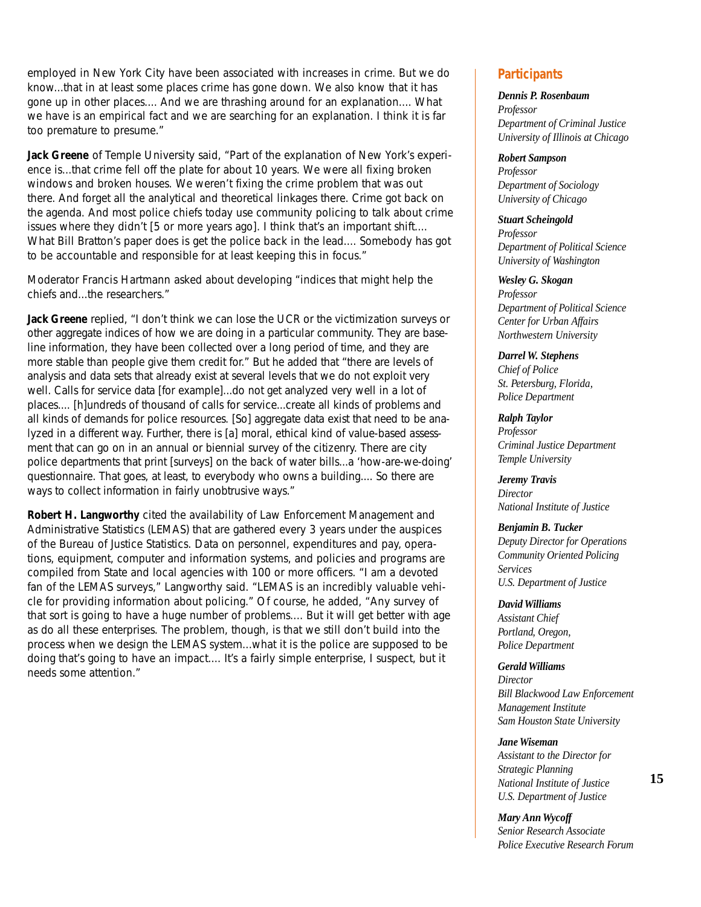employed in New York City have been associated with increases in crime. But we do know...that in at least some places crime has gone down. We also know that it has gone up in other places.... And we are thrashing around for an explanation.... What we have is an empirical fact and we are searching for an explanation. I think it is far too premature to presume."

**Jack Greene** of Temple University said, "Part of the explanation of New York's experience is...that crime fell off the plate for about 10 years. We were all fixing broken windows and broken houses. We weren't fixing the crime problem that was out there. And forget all the analytical and theoretical linkages there. Crime got back on the agenda. And most police chiefs today use community policing to talk about crime issues where they didn't [5 or more years ago]. I think that's an important shift.... What Bill Bratton's paper does is get the police back in the lead.... Somebody has got to be accountable and responsible for at least keeping this in focus."

Moderator Francis Hartmann asked about developing "indices that might help the chiefs and the researchers."

**Jack Greene** replied, "I don't think we can lose the UCR or the victimization surveys or other aggregate indices of how we are doing in a particular community. They are baseline information, they have been collected over a long period of time, and they are more stable than people give them credit for." But he added that "there are levels of analysis and data sets that already exist at several levels that we do not exploit very well. Calls for service data [for example]...do not get analyzed very well in a lot of places.... [h]undreds of thousand of calls for service...create all kinds of problems and all kinds of demands for police resources. [So] aggregate data exist that need to be analyzed in a different way. Further, there is [a] moral, ethical kind of value-based assessment that can go on in an annual or biennial survey of the citizenry. There are city police departments that print [surveys] on the back of water bills...a 'how-are-we-doing' questionnaire. That goes, at least, to everybody who owns a building.... So there are ways to collect information in fairly unobtrusive ways."

**Robert H. Langworthy** cited the availability of Law Enforcement Management and Administrative Statistics (LEMAS) that are gathered every 3 years under the auspices of the Bureau of Justice Statistics. Data on personnel, expenditures and pay, operations, equipment, computer and information systems, and policies and programs are compiled from State and local agencies with 100 or more officers. "I am a devoted fan of the LEMAS surveys," Langworthy said. "LEMAS is an incredibly valuable vehicle for providing information about policing." Of course, he added, "Any survey of that sort is going to have a huge number of problems.... But it will get better with age as do all these enterprises. The problem, though, is that we still don't build into the process when we design the LEMAS system...what it is the police are supposed to be doing that's going to have an impact.... It's a fairly simple enterprise, I suspect, but it needs some attention."

## **Participants**

#### *Dennis P. Rosenbaum*

*Professor Department of Criminal Justice University of Illinois at Chicago*

#### *Robert Sampson*

*Professor Department of Sociology University of Chicago*

#### *Stuart Scheingold*

*Professor Department of Political Science University of Washington*

*Wesley G. Skogan Professor Department of Political Science Center for Urban Affairs Northwestern University*

*Darrel W. Stephens Chief of Police St. Petersburg, Florida, Police Department*

*Ralph Taylor Professor Criminal Justice Department Temple University*

*Jeremy Travis Director National Institute of Justice*

#### *Benjamin B. Tucker*

*Deputy Director for Operations Community Oriented Policing Services U.S. Department of Justice*

#### *David Williams*

*Assistant Chief Portland, Oregon, Police Department*

### *Gerald Williams*

*Director Bill Blackwood Law Enforcement Management Institute Sam Houston State University*

#### *Jane Wiseman*

*Assistant to the Director for Strategic Planning National Institute of Justice U.S. Department of Justice*

*Mary Ann Wycoff Senior Research Associate Police Executive Research Forum*